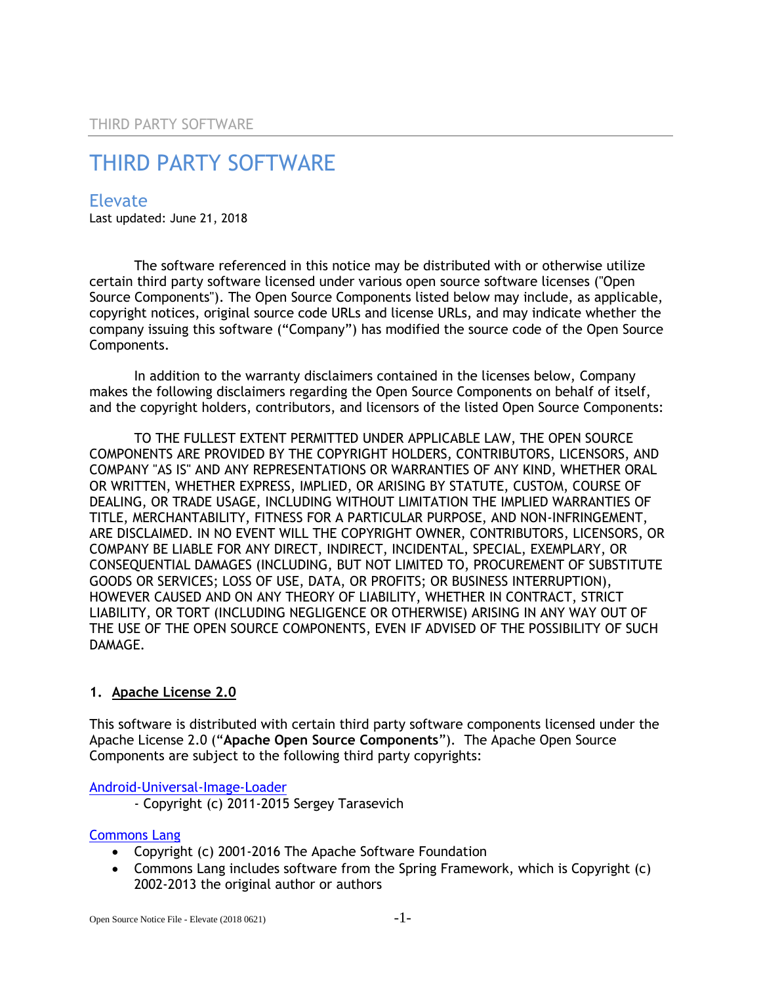# Elevate

Last updated: June 21, 2018

The software referenced in this notice may be distributed with or otherwise utilize certain third party software licensed under various open source software licenses ("Open Source Components"). The Open Source Components listed below may include, as applicable, copyright notices, original source code URLs and license URLs, and may indicate whether the company issuing this software ("Company") has modified the source code of the Open Source Components.

In addition to the warranty disclaimers contained in the licenses below, Company makes the following disclaimers regarding the Open Source Components on behalf of itself, and the copyright holders, contributors, and licensors of the listed Open Source Components:

TO THE FULLEST EXTENT PERMITTED UNDER APPLICABLE LAW, THE OPEN SOURCE COMPONENTS ARE PROVIDED BY THE COPYRIGHT HOLDERS, CONTRIBUTORS, LICENSORS, AND COMPANY "AS IS" AND ANY REPRESENTATIONS OR WARRANTIES OF ANY KIND, WHETHER ORAL OR WRITTEN, WHETHER EXPRESS, IMPLIED, OR ARISING BY STATUTE, CUSTOM, COURSE OF DEALING, OR TRADE USAGE, INCLUDING WITHOUT LIMITATION THE IMPLIED WARRANTIES OF TITLE, MERCHANTABILITY, FITNESS FOR A PARTICULAR PURPOSE, AND NON-INFRINGEMENT, ARE DISCLAIMED. IN NO EVENT WILL THE COPYRIGHT OWNER, CONTRIBUTORS, LICENSORS, OR COMPANY BE LIABLE FOR ANY DIRECT, INDIRECT, INCIDENTAL, SPECIAL, EXEMPLARY, OR CONSEQUENTIAL DAMAGES (INCLUDING, BUT NOT LIMITED TO, PROCUREMENT OF SUBSTITUTE GOODS OR SERVICES; LOSS OF USE, DATA, OR PROFITS; OR BUSINESS INTERRUPTION), HOWEVER CAUSED AND ON ANY THEORY OF LIABILITY, WHETHER IN CONTRACT, STRICT LIABILITY, OR TORT (INCLUDING NEGLIGENCE OR OTHERWISE) ARISING IN ANY WAY OUT OF THE USE OF THE OPEN SOURCE COMPONENTS, EVEN IF ADVISED OF THE POSSIBILITY OF SUCH DAMAGE.

# **1. Apache License 2.0**

This software is distributed with certain third party software components licensed under the Apache License 2.0 ("**Apache Open Source Components**"). The Apache Open Source Components are subject to the following third party copyrights:

[Android-Universal-Image-Loader](https://github.com/nostra13/Android-Universal-Image-Loader)

- Copyright (c) 2011-2015 Sergey Tarasevich

#### [Commons Lang](http://commons.apache.org/proper/commons-lang/)

- Copyright (c) 2001-2016 The Apache Software Foundation
- Commons Lang includes software from the Spring Framework, which is Copyright (c) 2002-2013 the original author or authors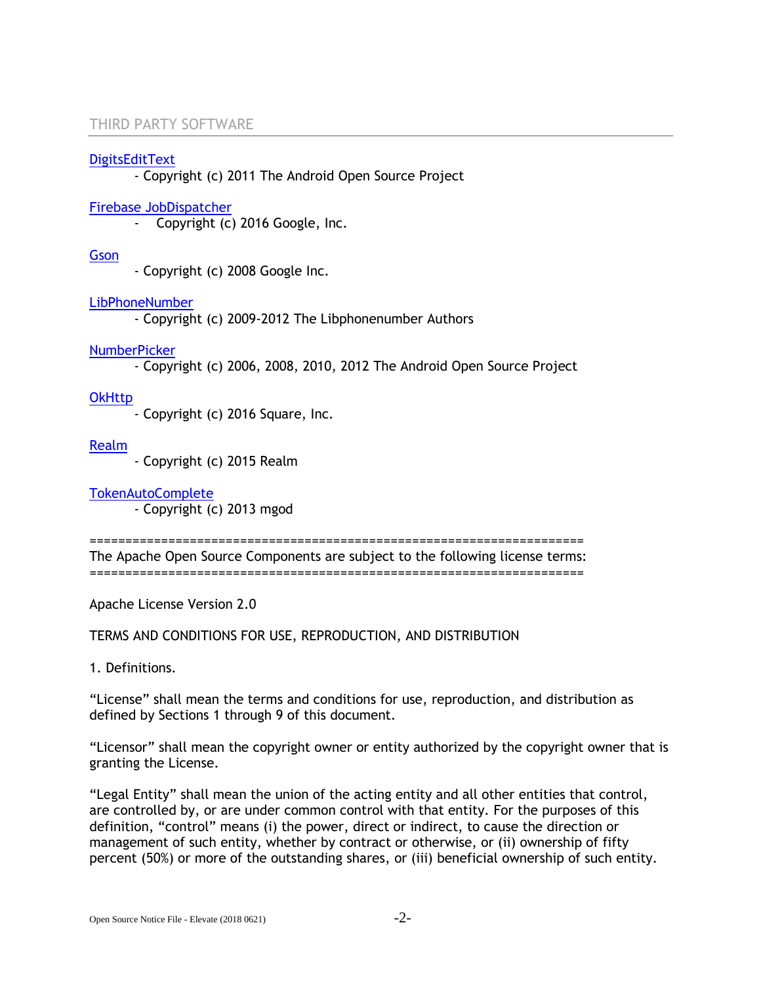#### [DigitsEditText](https://android.googlesource.com/platform/packages/apps/Contacts/+/8df53636fe956713cc3c13d9051aeb1982074286/src/com/android/contacts/dialpad/DigitsEditText.java)

- Copyright (c) 2011 The Android Open Source Project

#### Firebase JobDispatcher

- Copyright (c) 2016 Google, Inc.

#### **[Gson](https://github.com/google/gson)**

- Copyright (c) 2008 Google Inc.

#### [LibPhoneNumber](https://github.com/googlei18n/libphonenumber)

- Copyright (c) 2009-2012 The Libphonenumber Authors

#### [NumberPicker](https://github.com/SimonVT/android-numberpicker)

- Copyright (c) 2006, 2008, 2010, 2012 The Android Open Source Project

## **[OkHttp](http://square.github.io/okhttp/)**

- Copyright (c) 2016 Square, Inc.

#### [Realm](https://realm.io/)

- Copyright (c) 2015 Realm

[TokenAutoComplete](https://github.com/splitwise/TokenAutoComplete)

- Copyright (c) 2013 mgod

===================================================================== The Apache Open Source Components are subject to the following license terms:

=====================================================================

Apache License Version 2.0

TERMS AND CONDITIONS FOR USE, REPRODUCTION, AND DISTRIBUTION

1. Definitions.

"License" shall mean the terms and conditions for use, reproduction, and distribution as defined by Sections 1 through 9 of this document.

"Licensor" shall mean the copyright owner or entity authorized by the copyright owner that is granting the License.

"Legal Entity" shall mean the union of the acting entity and all other entities that control, are controlled by, or are under common control with that entity. For the purposes of this definition, "control" means (i) the power, direct or indirect, to cause the direction or management of such entity, whether by contract or otherwise, or (ii) ownership of fifty percent (50%) or more of the outstanding shares, or (iii) beneficial ownership of such entity.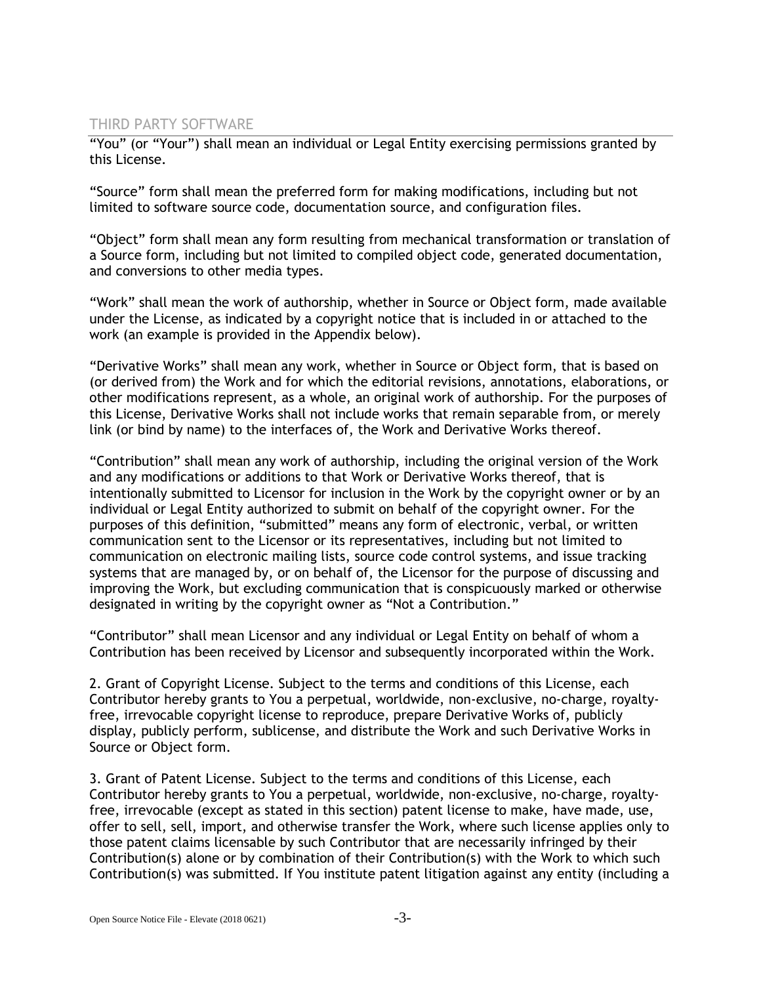"You" (or "Your") shall mean an individual or Legal Entity exercising permissions granted by this License.

"Source" form shall mean the preferred form for making modifications, including but not limited to software source code, documentation source, and configuration files.

"Object" form shall mean any form resulting from mechanical transformation or translation of a Source form, including but not limited to compiled object code, generated documentation, and conversions to other media types.

"Work" shall mean the work of authorship, whether in Source or Object form, made available under the License, as indicated by a copyright notice that is included in or attached to the work (an example is provided in the Appendix below).

"Derivative Works" shall mean any work, whether in Source or Object form, that is based on (or derived from) the Work and for which the editorial revisions, annotations, elaborations, or other modifications represent, as a whole, an original work of authorship. For the purposes of this License, Derivative Works shall not include works that remain separable from, or merely link (or bind by name) to the interfaces of, the Work and Derivative Works thereof.

"Contribution" shall mean any work of authorship, including the original version of the Work and any modifications or additions to that Work or Derivative Works thereof, that is intentionally submitted to Licensor for inclusion in the Work by the copyright owner or by an individual or Legal Entity authorized to submit on behalf of the copyright owner. For the purposes of this definition, "submitted" means any form of electronic, verbal, or written communication sent to the Licensor or its representatives, including but not limited to communication on electronic mailing lists, source code control systems, and issue tracking systems that are managed by, or on behalf of, the Licensor for the purpose of discussing and improving the Work, but excluding communication that is conspicuously marked or otherwise designated in writing by the copyright owner as "Not a Contribution."

"Contributor" shall mean Licensor and any individual or Legal Entity on behalf of whom a Contribution has been received by Licensor and subsequently incorporated within the Work.

2. Grant of Copyright License. Subject to the terms and conditions of this License, each Contributor hereby grants to You a perpetual, worldwide, non-exclusive, no-charge, royaltyfree, irrevocable copyright license to reproduce, prepare Derivative Works of, publicly display, publicly perform, sublicense, and distribute the Work and such Derivative Works in Source or Object form.

3. Grant of Patent License. Subject to the terms and conditions of this License, each Contributor hereby grants to You a perpetual, worldwide, non-exclusive, no-charge, royaltyfree, irrevocable (except as stated in this section) patent license to make, have made, use, offer to sell, sell, import, and otherwise transfer the Work, where such license applies only to those patent claims licensable by such Contributor that are necessarily infringed by their Contribution(s) alone or by combination of their Contribution(s) with the Work to which such Contribution(s) was submitted. If You institute patent litigation against any entity (including a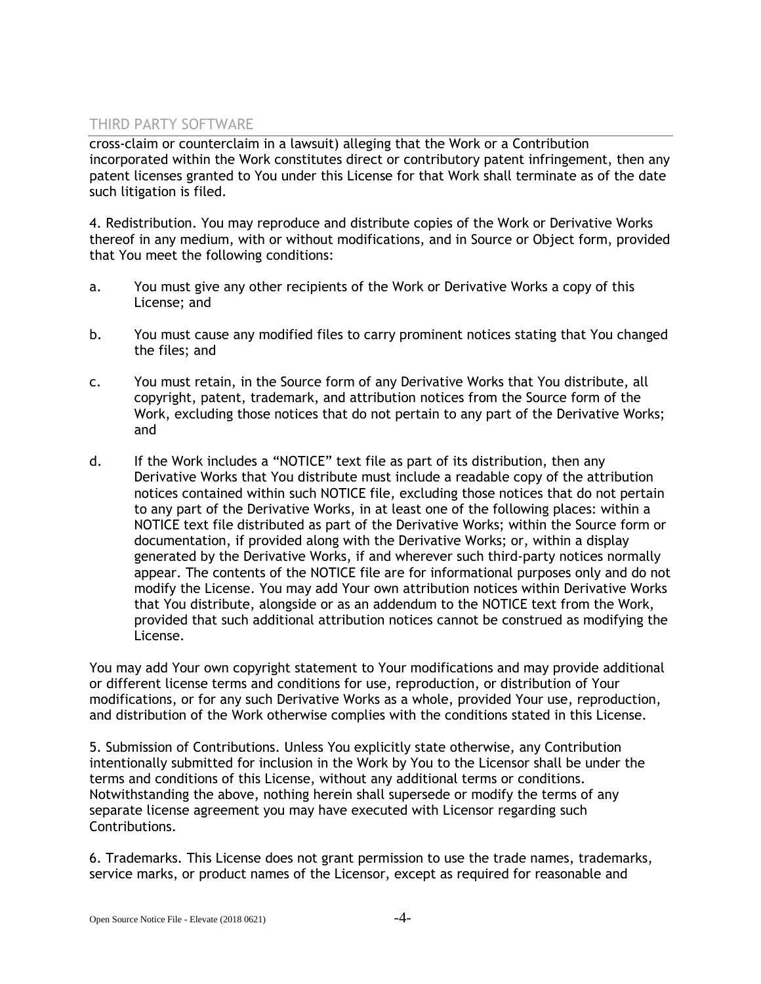cross-claim or counterclaim in a lawsuit) alleging that the Work or a Contribution incorporated within the Work constitutes direct or contributory patent infringement, then any patent licenses granted to You under this License for that Work shall terminate as of the date such litigation is filed.

4. Redistribution. You may reproduce and distribute copies of the Work or Derivative Works thereof in any medium, with or without modifications, and in Source or Object form, provided that You meet the following conditions:

- a. You must give any other recipients of the Work or Derivative Works a copy of this License; and
- b. You must cause any modified files to carry prominent notices stating that You changed the files; and
- c. You must retain, in the Source form of any Derivative Works that You distribute, all copyright, patent, trademark, and attribution notices from the Source form of the Work, excluding those notices that do not pertain to any part of the Derivative Works; and
- d. If the Work includes a "NOTICE" text file as part of its distribution, then any Derivative Works that You distribute must include a readable copy of the attribution notices contained within such NOTICE file, excluding those notices that do not pertain to any part of the Derivative Works, in at least one of the following places: within a NOTICE text file distributed as part of the Derivative Works; within the Source form or documentation, if provided along with the Derivative Works; or, within a display generated by the Derivative Works, if and wherever such third-party notices normally appear. The contents of the NOTICE file are for informational purposes only and do not modify the License. You may add Your own attribution notices within Derivative Works that You distribute, alongside or as an addendum to the NOTICE text from the Work, provided that such additional attribution notices cannot be construed as modifying the License.

You may add Your own copyright statement to Your modifications and may provide additional or different license terms and conditions for use, reproduction, or distribution of Your modifications, or for any such Derivative Works as a whole, provided Your use, reproduction, and distribution of the Work otherwise complies with the conditions stated in this License.

5. Submission of Contributions. Unless You explicitly state otherwise, any Contribution intentionally submitted for inclusion in the Work by You to the Licensor shall be under the terms and conditions of this License, without any additional terms or conditions. Notwithstanding the above, nothing herein shall supersede or modify the terms of any separate license agreement you may have executed with Licensor regarding such Contributions.

6. Trademarks. This License does not grant permission to use the trade names, trademarks, service marks, or product names of the Licensor, except as required for reasonable and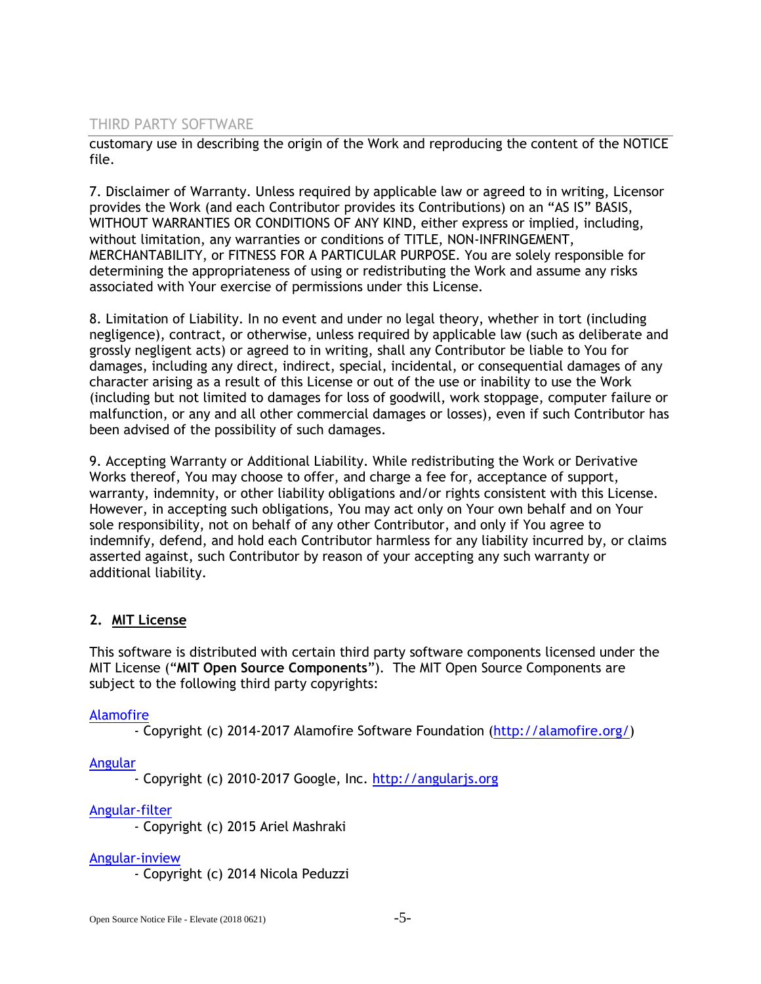customary use in describing the origin of the Work and reproducing the content of the NOTICE file.

7. Disclaimer of Warranty. Unless required by applicable law or agreed to in writing, Licensor provides the Work (and each Contributor provides its Contributions) on an "AS IS" BASIS, WITHOUT WARRANTIES OR CONDITIONS OF ANY KIND, either express or implied, including, without limitation, any warranties or conditions of TITLE, NON-INFRINGEMENT, MERCHANTABILITY, or FITNESS FOR A PARTICULAR PURPOSE. You are solely responsible for determining the appropriateness of using or redistributing the Work and assume any risks associated with Your exercise of permissions under this License.

8. Limitation of Liability. In no event and under no legal theory, whether in tort (including negligence), contract, or otherwise, unless required by applicable law (such as deliberate and grossly negligent acts) or agreed to in writing, shall any Contributor be liable to You for damages, including any direct, indirect, special, incidental, or consequential damages of any character arising as a result of this License or out of the use or inability to use the Work (including but not limited to damages for loss of goodwill, work stoppage, computer failure or malfunction, or any and all other commercial damages or losses), even if such Contributor has been advised of the possibility of such damages.

9. Accepting Warranty or Additional Liability. While redistributing the Work or Derivative Works thereof, You may choose to offer, and charge a fee for, acceptance of support, warranty, indemnity, or other liability obligations and/or rights consistent with this License. However, in accepting such obligations, You may act only on Your own behalf and on Your sole responsibility, not on behalf of any other Contributor, and only if You agree to indemnify, defend, and hold each Contributor harmless for any liability incurred by, or claims asserted against, such Contributor by reason of your accepting any such warranty or additional liability.

# **2. MIT License**

This software is distributed with certain third party software components licensed under the MIT License ("**MIT Open Source Components**"). The MIT Open Source Components are subject to the following third party copyrights:

# [Alamofire](https://github.com/Alamofire/Alamofire/blob/master/LICENSE)

- Copyright (c) 2014-2017 Alamofire Software Foundation [\(http://alamofire.org/\)](http://alamofire.org/)

# [Angular](https://github.com/angular/angular.js/blob/master/LICENSE)

- Copyright (c) 2010-2017 Google, Inc. [http://angularjs.org](http://angularjs.org/)

# [Angular-filter](https://github.com/a8m/angular-filter/blob/master/license.md)

- Copyright (c) 2015 Ariel Mashraki

# [Angular-inview](https://github.com/thenikso/angular-inview/blob/master/LICENSE)

- Copyright (c) 2014 Nicola Peduzzi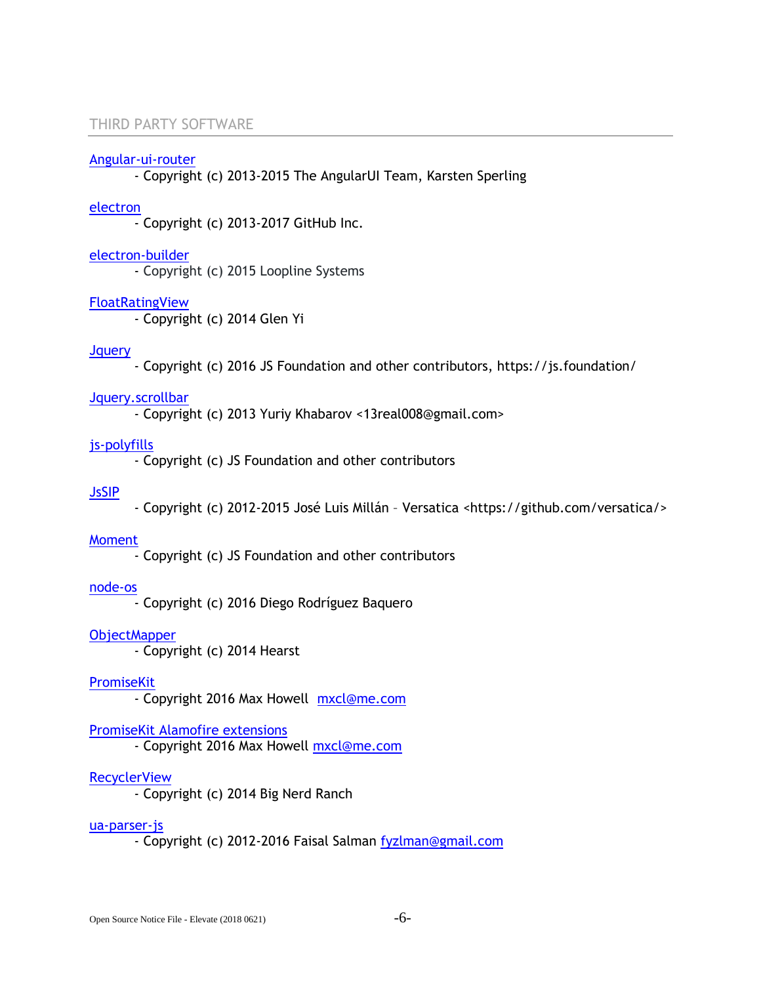#### [Angular-ui-router](https://github.com/angular-ui/ui-router/blob/master/LICENSE)

- Copyright (c) 2013-2015 The AngularUI Team, Karsten Sperling

#### [electron](https://github.com/electron/electron/blob/master/LICENSE)

- Copyright (c) 2013-2017 GitHub Inc.

#### [electron-builder](https://github.com/electron-userland/electron-builder)

- Copyright (c) 2015 Loopline Systems

#### [FloatRatingView](https://github.com/glenyi/FloatRatingView/blob/master/LICENSE)

- Copyright (c) 2014 Glen Yi

#### **J**query

- Copyright (c) 2016 JS Foundation and other contributors, https://js.foundation/

#### [Jquery.scrollbar](https://github.com/gromo/jquery.scrollbar/blob/master/license-mit.txt)

- Copyright (c) 2013 Yuriy Khabarov <13real008@gmail.com>

#### [js-polyfills](https://github.com/inexorabletash/polyfill/blob/master/LICENSE.md)

- Copyright (c) JS Foundation and other contributors

### [JsSIP](https://github.com/versatica/JsSIP/blob/master/LICENSE)

- Copyright (c) 2012-2015 José Luis Millán – Versatica <https://github.com/versatica/>

### [Moment](https://github.com/moment/moment/blob/develop/LICENSE)

- Copyright (c) JS Foundation and other contributors

# [node-os](https://github.com/DiegoRBaquero/node-os/blob/master/LICENSE)

- Copyright (c) 2016 Diego Rodríguez Baquero

#### **[ObjectMapper](https://github.com/Hearst-DD/ObjectMapper)**

- Copyright (c) 2014 Hearst

#### **[PromiseKit](https://github.com/mxcl/PromiseKit/blob/master/LICENSE)**

- Copyright 2016 Max Howell [mxcl@me.com](mailto:mxcl@me.com)

#### [PromiseKit Alamofire extensions](https://github.com/PromiseKit/Alamofire-)

- Copyright 2016 Max Howell [mxcl@me.com](mailto:mxcl@me.com)

#### **[RecyclerView](https://github.com/bignerdranch/recyclerview-multiselect)**

- Copyright (c) 2014 Big Nerd Ranch

#### [ua-parser-js](https://github.com/faisalman/ua-parser-js)

- Copyright (c) 2012-2016 Faisal Salman [fyzlman@gmail.com](mailto:fyzlman@gmail.com)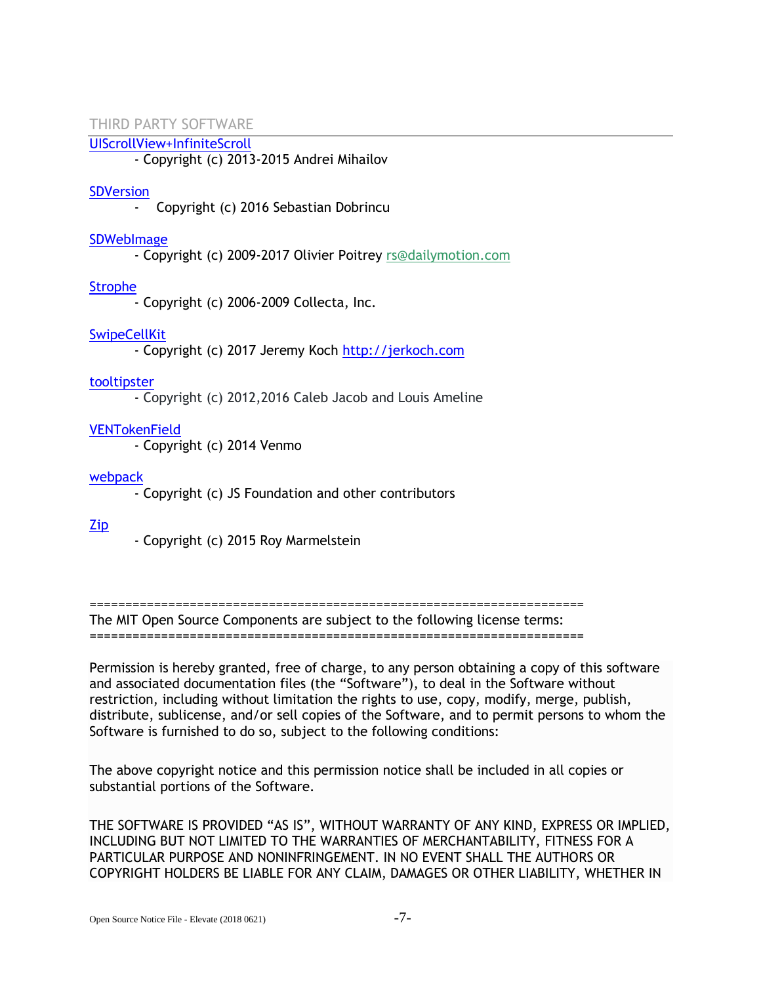# [UIScrollView+InfiniteScroll](https://github.com/pronebird/UIScrollView-InfiniteScroll)

- Copyright (c) 2013-2015 Andrei Mihailov

#### **SDVersion**

- Copyright (c) 2016 Sebastian Dobrincu

#### **[SDWebImage](https://github.com/rs/SDWebImage)**

- Copyright (c) 2009-2017 Olivier Poitrey [rs@dailymotion.com](mailto:rs@dailymotion.com)

# [Strophe](https://github.com/strophe/strophejs/blob/master/LICENSE.txt)

- Copyright (c) 2006-2009 Collecta, Inc.

# **[SwipeCellKit](https://github.com/SwipeCellKit/SwipeCellKit/blob/develop/LICENSE)**

- Copyright (c) 2017 Jeremy Koch [http://jerkoch.com](http://jerkoch.com/)

#### [tooltipster](https://github.com/iamceege/tooltipster)

- Copyright (c) 2012,2016 Caleb Jacob and Louis Ameline

# [VENTokenField](https://github.com/venmo/VENTokenField)

- Copyright (c) 2014 Venmo

#### [webpack](https://github.com/webpack/webpack/blob/master/LICENSE)

- Copyright (c) JS Foundation and other contributors

# [Zip](https://github.com/marmelroy/Zip/blob/master/LICENSE)

- Copyright (c) 2015 Roy Marmelstein

=====================================================================

The MIT Open Source Components are subject to the following license terms:

=====================================================================

Permission is hereby granted, free of charge, to any person obtaining a copy of this software and associated documentation files (the "Software"), to deal in the Software without restriction, including without limitation the rights to use, copy, modify, merge, publish, distribute, sublicense, and/or sell copies of the Software, and to permit persons to whom the Software is furnished to do so, subject to the following conditions:

The above copyright notice and this permission notice shall be included in all copies or substantial portions of the Software.

THE SOFTWARE IS PROVIDED "AS IS", WITHOUT WARRANTY OF ANY KIND, EXPRESS OR IMPLIED, INCLUDING BUT NOT LIMITED TO THE WARRANTIES OF MERCHANTABILITY, FITNESS FOR A PARTICULAR PURPOSE AND NONINFRINGEMENT. IN NO EVENT SHALL THE AUTHORS OR COPYRIGHT HOLDERS BE LIABLE FOR ANY CLAIM, DAMAGES OR OTHER LIABILITY, WHETHER IN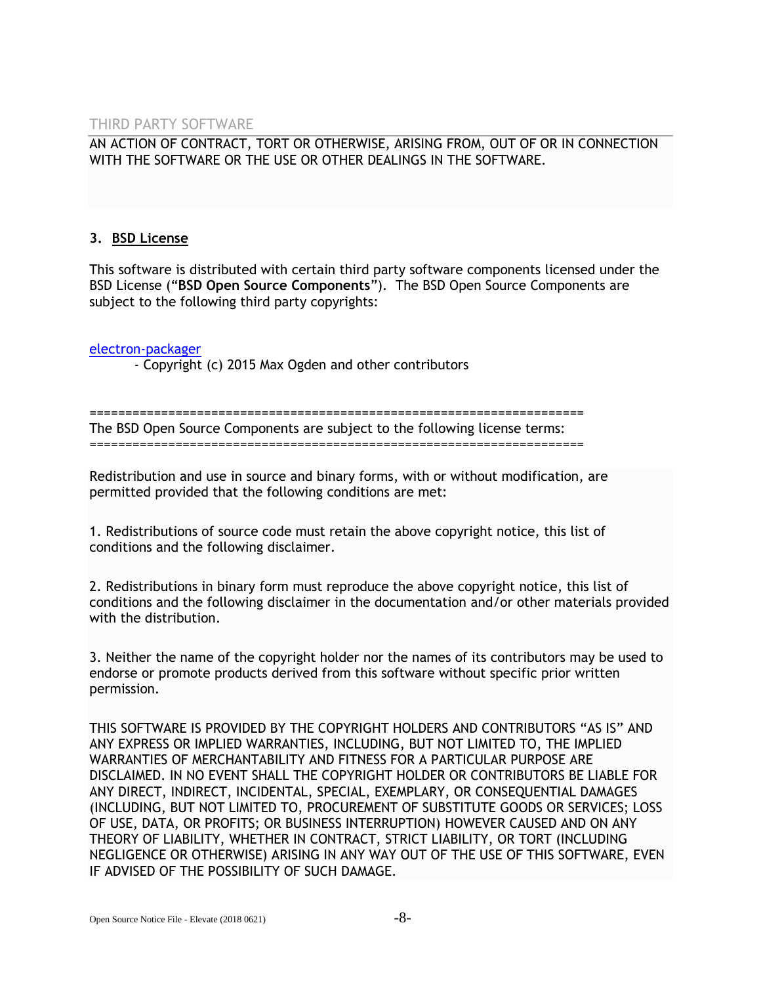# AN ACTION OF CONTRACT, TORT OR OTHERWISE, ARISING FROM, OUT OF OR IN CONNECTION WITH THE SOFTWARE OR THE USE OR OTHER DEALINGS IN THE SOFTWARE.

# **3. BSD License**

This software is distributed with certain third party software components licensed under the BSD License ("**BSD Open Source Components**"). The BSD Open Source Components are subject to the following third party copyrights:

[electron-packager](https://github.com/electron-userland/electron-packager/blob/master/LICENSE)

- Copyright (c) 2015 Max Ogden and other contributors

===================================================================== The BSD Open Source Components are subject to the following license terms: =====================================================================

Redistribution and use in source and binary forms, with or without modification, are permitted provided that the following conditions are met:

1. Redistributions of source code must retain the above copyright notice, this list of conditions and the following disclaimer.

2. Redistributions in binary form must reproduce the above copyright notice, this list of conditions and the following disclaimer in the documentation and/or other materials provided with the distribution.

3. Neither the name of the copyright holder nor the names of its contributors may be used to endorse or promote products derived from this software without specific prior written permission.

THIS SOFTWARE IS PROVIDED BY THE COPYRIGHT HOLDERS AND CONTRIBUTORS "AS IS" AND ANY EXPRESS OR IMPLIED WARRANTIES, INCLUDING, BUT NOT LIMITED TO, THE IMPLIED WARRANTIES OF MERCHANTABILITY AND FITNESS FOR A PARTICULAR PURPOSE ARE DISCLAIMED. IN NO EVENT SHALL THE COPYRIGHT HOLDER OR CONTRIBUTORS BE LIABLE FOR ANY DIRECT, INDIRECT, INCIDENTAL, SPECIAL, EXEMPLARY, OR CONSEQUENTIAL DAMAGES (INCLUDING, BUT NOT LIMITED TO, PROCUREMENT OF SUBSTITUTE GOODS OR SERVICES; LOSS OF USE, DATA, OR PROFITS; OR BUSINESS INTERRUPTION) HOWEVER CAUSED AND ON ANY THEORY OF LIABILITY, WHETHER IN CONTRACT, STRICT LIABILITY, OR TORT (INCLUDING NEGLIGENCE OR OTHERWISE) ARISING IN ANY WAY OUT OF THE USE OF THIS SOFTWARE, EVEN IF ADVISED OF THE POSSIBILITY OF SUCH DAMAGE.